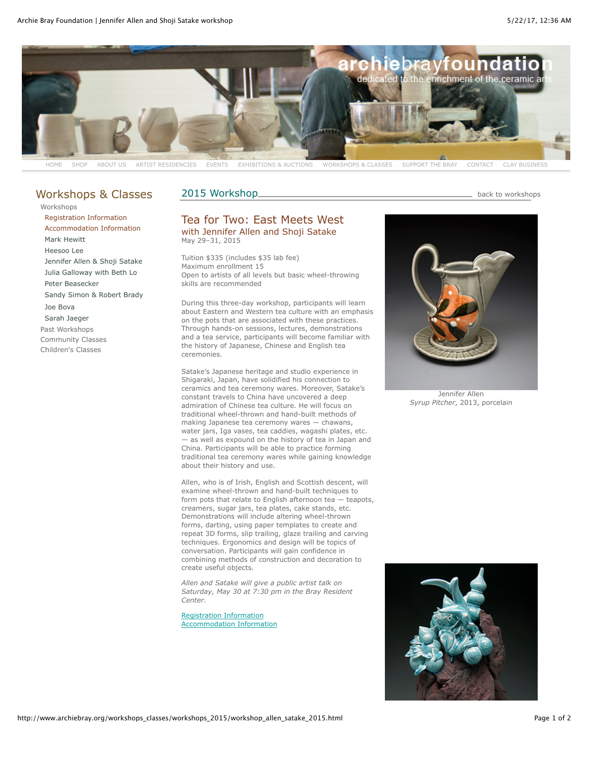

## [Workshops & Classes](http://www.archiebray.org/workshops_classes/workshops_classes.html)

2015 Workshop. Manual Manual Manual Manual Manual Manual Manual Manual Manual Manual Manual Manual Manual Manu

[Workshops](http://www.archiebray.org/workshops_classes/workshops.html) [Registration Information](http://www.archiebray.org/workshops_classes/workshops_registration.html) [Accommodation Information](http://www.archiebray.org/workshops_classes/workshops_accommodations.html) [Mark Hewitt](http://www.archiebray.org/workshops_classes/workshops_2014/workshop_hewitt_2014.html) [Heesoo Lee](http://www.archiebray.org/workshops_classes/workshops_2015/workshop_lee_2015.html) [Jennifer Allen & Shoji Satake](http://www.archiebray.org/workshops_classes/workshops_2015/workshop_allen_satake_2015.html) [Julia Galloway with Beth Lo](http://www.archiebray.org/workshops_classes/workshops_2015/workshop_galloway_lo_2015.html) [Peter Beasecker](http://www.archiebray.org/workshops_classes/workshops_2015/workshop_beasecker_2015.html) [Sandy Simon & Robert Brady](http://www.archiebray.org/workshops_classes/workshops_2015/workshop_simon_brady_2015.html) [Joe Bova](http://www.archiebray.org/workshops_classes/workshops_2015/workshop_bova_2015.html) [Sarah Jaeger](http://www.archiebray.org/workshops_classes/workshops_2015/workshop_jaeger_2015.html) [Past Workshops](http://www.archiebray.org/workshops_classes/workshops_past.html) [Community Classes](http://www.archiebray.org/workshops_classes/community_classes.html) [Children's Classes](http://www.archiebray.org/workshops_classes/kids_classes.html)

## Tea for Two: East Meets West with Jennifer Allen and Shoji Satake May 29–31, 2015

Tuition \$335 (includes \$35 lab fee) Maximum enrollment 15 Open to artists of all levels but basic wheel-throwing skills are recommended

During this three-day workshop, participants will learn about Eastern and Western tea culture with an emphasis on the pots that are associated with these practices. Through hands-on sessions, lectures, demonstrations and a tea service, participants will become familiar with the history of Japanese, Chinese and English tea ceremonies.

Satake's Japanese heritage and studio experience in Shigaraki, Japan, have solidified his connection to ceramics and tea ceremony wares. Moreover, Satake's constant travels to China have uncovered a deep admiration of Chinese tea culture. He will focus on traditional wheel-thrown and hand-built methods of making Japanese tea ceremony wares — chawans, water jars, Iga vases, tea caddies, wagashi plates, etc. — as well as expound on the history of tea in Japan and China. Participants will be able to practice forming traditional tea ceremony wares while gaining knowledge about their history and use.

Allen, who is of Irish, English and Scottish descent, will examine wheel-thrown and hand-built techniques to form pots that relate to English afternoon tea — teapots, creamers, sugar jars, tea plates, cake stands, etc. Demonstrations will include altering wheel-thrown forms, darting, using paper templates to create and repeat 3D forms, slip trailing, glaze trailing and carving techniques. Ergonomics and design will be topics of conversation. Participants will gain confidence in combining methods of construction and decoration to create useful objects.

*Allen and Satake will give a public artist talk on Saturday, May 30 at 7:30 pm in the Bray Resident Center.*

[Registration Information](http://www.archiebray.org/workshops_classes/workshops_registration.html) [Accommodation Information](http://www.archiebray.org/workshops_classes/workshops_accommodations.html)



Jennifer Allen *Syrup Pitcher*, 2013, porcelain